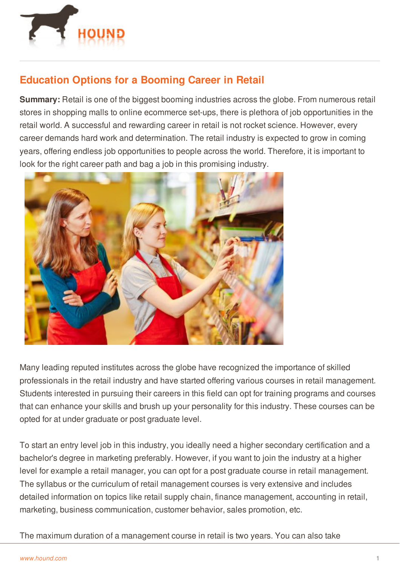

## **Education Options for a Booming Career in Retail**

**Summary:** Retail is one of the biggest booming industries across the globe. From numerous retail stores in shopping malls to online ecommerce set-ups, there is plethora of job opportunities in the retail world. A successful and rewarding career in retail is not rocket science. However, every career demands hard work and determination. The retail industry is expected to grow in coming years, offering endless job opportunities to people across the world. Therefore, it is important to look for the right career path and bag a job in this promising industry.



Many leading reputed institutes across the globe have recognized the importance of skilled professionals in the retail industry and have started offering various courses in retail management. Students interested in pursuing their careers in this field can opt for training programs and courses that can enhance your skills and brush up your personality for this industry. These courses can be opted for at under graduate or post graduate level.

To start an entry level job in this industry, you ideally need a higher secondary certification and a bachelor's degree in marketing preferably. However, if you want to join the industry at a higher level for example a retail manager, you can opt for a post graduate course in retail management. The syllabus or the curriculum of retail management courses is very extensive and includes [detailed](http://www.hound.com/) information on topics like retail supply chain, finance management, accounting in retail, marketing, business communication, customer behavior, sales promotion, etc.

The maximum duration of a management course in retail is two years. You can also take